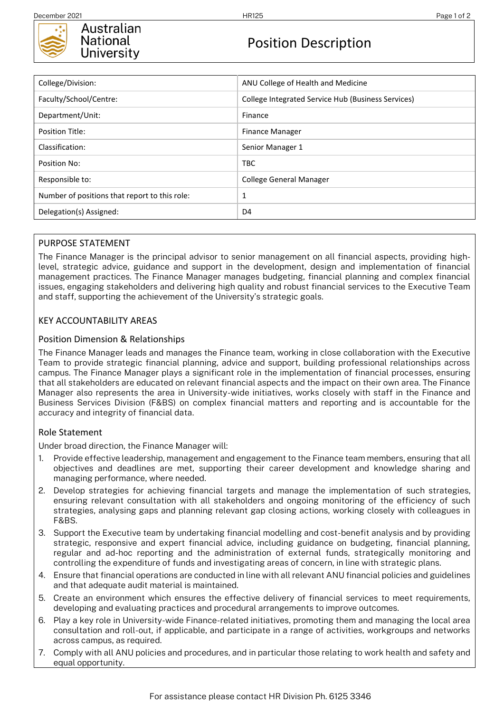

# Position Description

| College/Division:                             | ANU College of Health and Medicine                 |
|-----------------------------------------------|----------------------------------------------------|
| Faculty/School/Centre:                        | College Integrated Service Hub (Business Services) |
| Department/Unit:                              | Finance                                            |
| Position Title:                               | Finance Manager                                    |
| Classification:                               | Senior Manager 1                                   |
| Position No:                                  | <b>TBC</b>                                         |
| Responsible to:                               | <b>College General Manager</b>                     |
| Number of positions that report to this role: | 1                                                  |
| Delegation(s) Assigned:                       | D4                                                 |

### PURPOSE STATEMENT

The Finance Manager is the principal advisor to senior management on all financial aspects, providing highlevel, strategic advice, guidance and support in the development, design and implementation of financial management practices. The Finance Manager manages budgeting, financial planning and complex financial issues, engaging stakeholders and delivering high quality and robust financial services to the Executive Team and staff, supporting the achievement of the University's strategic goals.

## KEY ACCOUNTABILITY AREAS

### Position Dimension & Relationships

The Finance Manager leads and manages the Finance team, working in close collaboration with the Executive Team to provide strategic financial planning, advice and support, building professional relationships across campus. The Finance Manager plays a significant role in the implementation of financial processes, ensuring that all stakeholders are educated on relevant financial aspects and the impact on their own area. The Finance Manager also represents the area in University-wide initiatives, works closely with staff in the Finance and Business Services Division (F&BS) on complex financial matters and reporting and is accountable for the accuracy and integrity of financial data.

#### Role Statement

Under broad direction, the Finance Manager will:

- 1. Provide effective leadership, management and engagement to the Finance team members, ensuring that all objectives and deadlines are met, supporting their career development and knowledge sharing and managing performance, where needed.
- 2. Develop strategies for achieving financial targets and manage the implementation of such strategies, ensuring relevant consultation with all stakeholders and ongoing monitoring of the efficiency of such strategies, analysing gaps and planning relevant gap closing actions, working closely with colleagues in F&BS.
- 3. Support the Executive team by undertaking financial modelling and cost-benefit analysis and by providing strategic, responsive and expert financial advice, including guidance on budgeting, financial planning, regular and ad-hoc reporting and the administration of external funds, strategically monitoring and controlling the expenditure of funds and investigating areas of concern, in line with strategic plans.
- 4. Ensure that financial operations are conducted in line with all relevant ANU financial policies and guidelines and that adequate audit material is maintained.
- 5. Create an environment which ensures the effective delivery of financial services to meet requirements, developing and evaluating practices and procedural arrangements to improve outcomes.
- 6. Play a key role in University-wide Finance-related initiatives, promoting them and managing the local area consultation and roll-out, if applicable, and participate in a range of activities, workgroups and networks across campus, as required.
- 7. Comply with all ANU policies and procedures, and in particular those relating to work health and safety and equal opportunity.